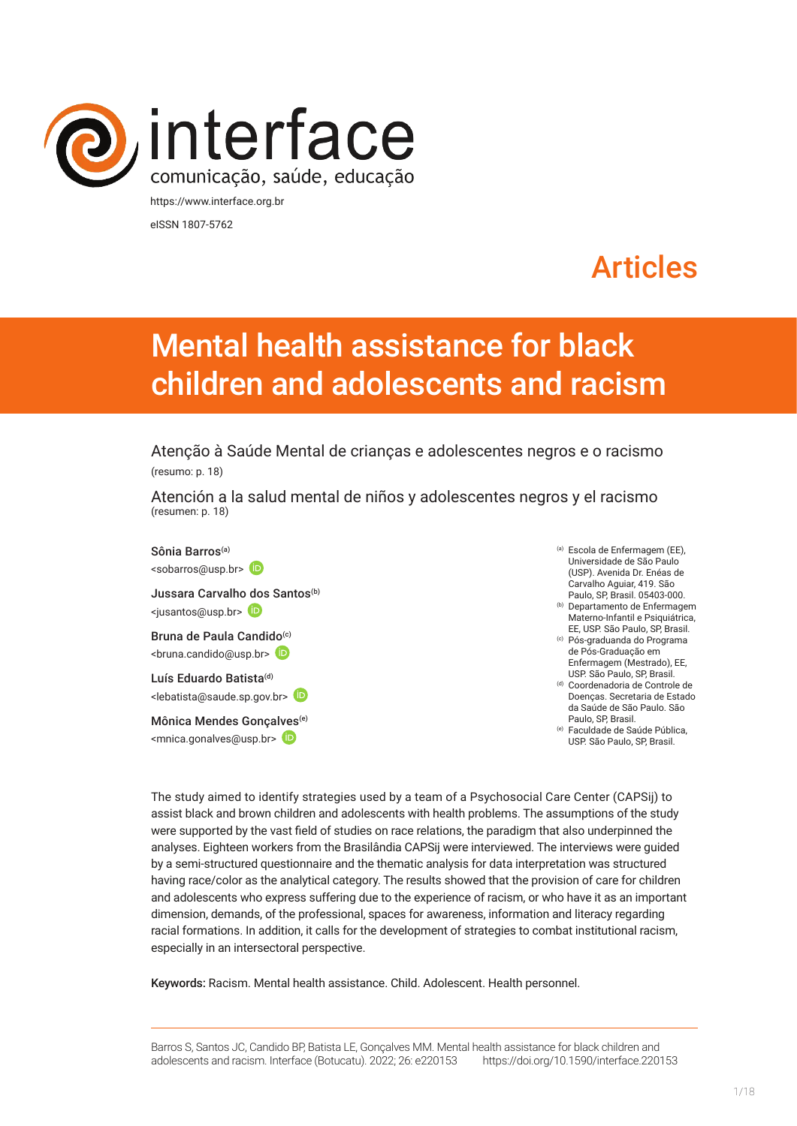

eISSN 1807-5762

# Articles

# Mental health assistance for black children and adolescents and racism

Atenção à Saúde Mental de crianças e adolescentes negros e o racismo (resumo: p. 18)

Atención a la salud mental de niños y adolescentes negros y el racismo (resumen: p. 18)

Sônia Barros(a) <sobarros@usp.br> Jussara Carvalh[o dos](https://orcid.org/0000-0002-7008-2756) Santos<sup>(b)</sup> <jusantos@usp.br> Bruna de Paula Candido<sup>(c)</sup>  $\langle$ bruna.candido@usp.br>  $(D)$ Luís Eduardo Batista<sup>(d)</sup> <lebatista@saude.sp.gov.br> Mônica Mendes Gonça[lves](https://orcid.org/0000-0002-0459-7890)(e)

<mnica.gonalves@usp.br>

- (a) Escola de Enfermagem (EE), Universidade de São Paulo (USP). Avenida Dr. Enéas de Carvalho Aguiar, 419. São Paulo, SP, Brasil. 05403-000. (b) Departamento de Enfermagem
- Materno-Infantil e Psiquiátrica, EE, USP. São Paulo, SP, Brasil. (c) Pós-graduanda do Programa
- de Pós-Graduação em Enfermagem (Mestrado), EE, USP. São Paulo, SP, Brasil.
- (d) Coordenadoria de Controle de Doenças. Secretaria de Estado da Saúde de São Paulo. São Paulo, SP, Brasil.
- (e) Faculdade de Saúde Pública, USP. São Paulo, SP, Brasil.

The study aimed to identify strategies used by a team of a Psychosocial Care Center (CAPSij) to assist black and brown children and adolescents with health problems. The assumptions of the study were supported by the vast field of studies on race relations, the paradigm that also underpinned the analyses. Eighteen workers from the Brasilândia CAPSij were interviewed. The interviews were guided by a semi-structured questionnaire and the thematic analysis for data interpretation was structured having race/color as the analytical category. The results showed that the provision of care for children and adolescents who express suffering due to the experience of racism, or who have it as an important dimension, demands, of the professional, spaces for awareness, information and literacy regarding racial formations. In addition, it calls for the development of strategies to combat institutional racism, especially in an intersectoral perspective.

Keywords: Racism. Mental health assistance. Child. Adolescent. Health personnel.

Barros S, Santos JC, Candido BP, Batista LE, Gonçalves MM. Mental health assistance for black children and adolescents and racism. Interface (Botucatu). 2022; 26: e220153 [https://](https://10.11606/S1518-787.201805200XXXX)doi.org/10.1590/interface.220153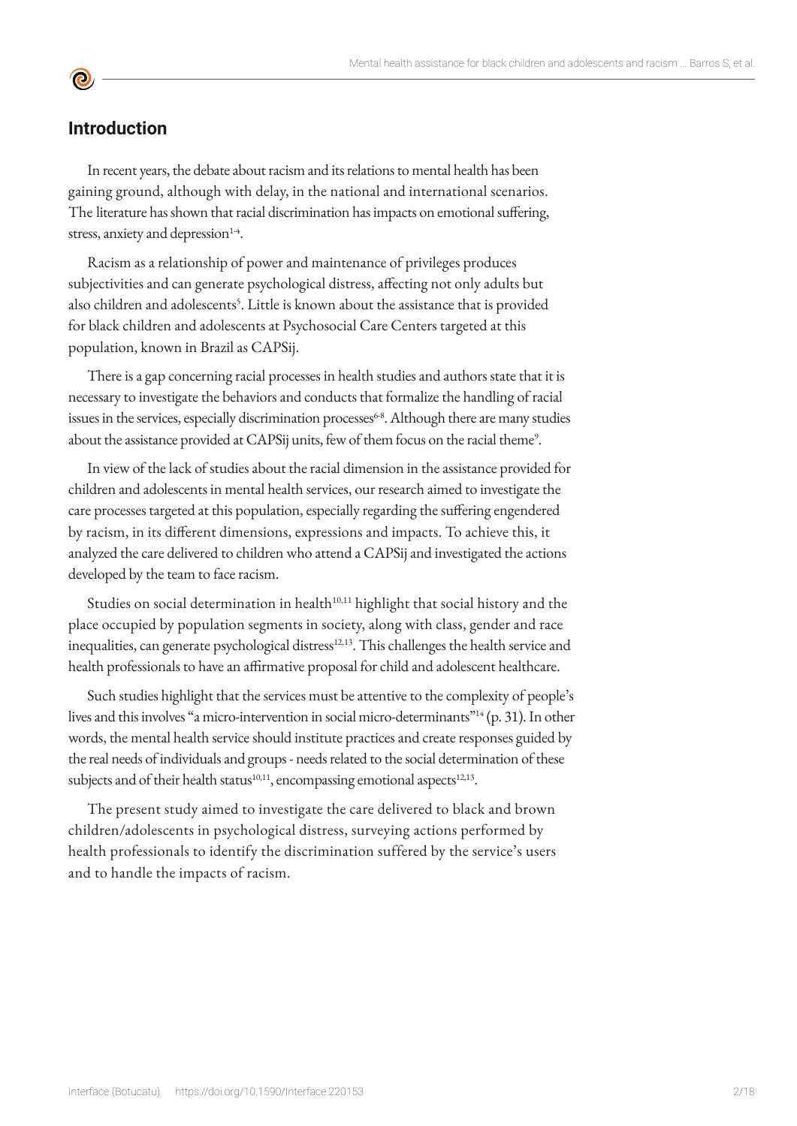## **Introduction**

**©** 

In recent years, the debate about racism and its relations to mental health has been gaining ground, although with delay, in the national and international scenarios. The literature has shown that racial discrimination has impacts on emotional suffering, stress, anxiety and depression $14$ .

Racism as a relationship of power and maintenance of privileges produces subjectivities and can generate psychological distress, affecting not only adults but also children and adolescents<sup>[5](https://paperpile.com/c/JEP7OC/ntix4)</sup>. Little is known about the assistance that is provided for black children and adolescents at Psychosocial Care Centers targeted at this population, known in Brazil as CAPSij.

There is a gap concerning racial processes in health studies and authors state that it is necessary to investigate the behaviors and conducts that formalize the handling of racial issues in the services, especially discrimination processes<sup>6-8</sup>. Although there are many studies about the assistance provided at CAPSij units, few of them focus on the racial theme<sup>9</sup>.

In view of the lack of studies about the racial dimension in the assistance provided for children and adolescents in mental health services, our research aimed to investigate the care processes targeted at this population, especially regarding the suffering engendered by racism, in its different dimensions, expressions and impacts. To achieve this, it analyzed the care delivered to children who attend a CAPSij and investigated the actions developed by the team to face racism.

Studies on social determination in health<sup>10,11</sup> highlight that social history and the place occupied by population segments in society, along with class, gender and race inequalities, can generate psychological distress<sup>12,13</sup>. This challenges the health service and health professionals to have an affirmative proposal for child and adolescent healthcare.

Such studies highlight that the services must be attentive to the complexity of people's lives and this involves "a micro-intervention in social micro-determinants["1](https://paperpile.com/c/JEP7OC/xTaLD)4 (p. 31). In other words, the mental health service should institute practices and create responses guided by the real needs of individuals and groups - needs related to the social determination of these subjects and of their health status<sup>10,11</sup>, encompassing emotional aspects<sup>[12,13](https://paperpile.com/c/JEP7OC/P9K6Z+oyb3R)</sup>.

The present study aimed to investigate the care delivered to black and brown children/adolescents in psychological distress, surveying actions performed by health professionals to identify the discrimination suffered by the service's users and to handle the impacts of racism.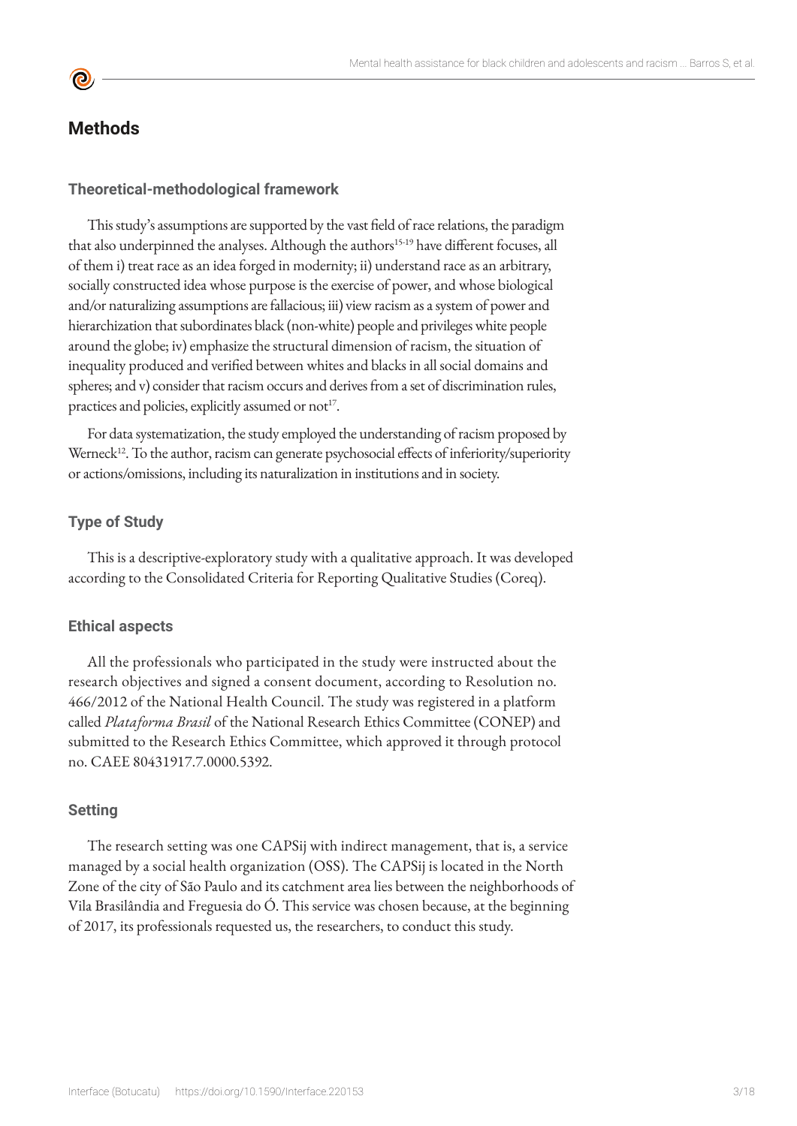

# **Methods**

#### **Theoretical-methodological framework**

This study's assumptions are supported by the vast field of race relations, the paradigm that also underpinned the analyses. Although the authors<sup>[15-1](https://paperpile.com/c/JEP7OC/haZ63+ypO9q+RSxai+9zdj1+URYva)9</sup> have different focuses, all of them i) treat race as an idea forged in modernity; ii) understand race as an arbitrary, socially constructed idea whose purpose is the exercise of power, and whose biological and/or naturalizing assumptions are fallacious; iii) view racism as a system of power and hierarchization that subordinates black (non-white) people and privileges white people around the globe; iv) emphasize the structural dimension of racism, the situation of inequality produced and verified between whites and blacks in all social domains and spheres; and v) consider that racism occurs and derives from a set of discrimination rules, practices and policies, explicitly assumed or not<sup>17</sup>.

For data systematization, the study employed the understanding of racism proposed by Werneck<sup>[12](https://paperpile.com/c/JEP7OC/P9K6Z)</sup>. To the author, racism can generate psychosocial effects of inferiority/superiority or actions/omissions, including its naturalization in institutions and in society.

### **Type of Study**

This is a descriptive-exploratory study with a qualitative approach. It was developed according to the Consolidated Criteria for Reporting Qualitative Studies (Coreq).

#### **Ethical aspects**

All the professionals who participated in the study were instructed about the research objectives and signed a consent document, according to Resolution no. 466/2012 of the National Health Council. The study was registered in a platform called *Plataforma Brasil* of the National Research Ethics Committee (CONEP) and submitted to the Research Ethics Committee, which approved it through protocol no. CAEE 80431917.7.0000.5392.

#### **Setting**

The research setting was one CAPSij with indirect management, that is, a service managed by a social health organization (OSS). The CAPSij is located in the North Zone of the city of São Paulo and its catchment area lies between the neighborhoods of Vila Brasilândia and Freguesia do Ó. This service was chosen because, at the beginning of 2017, its professionals requested us, the researchers, to conduct this study.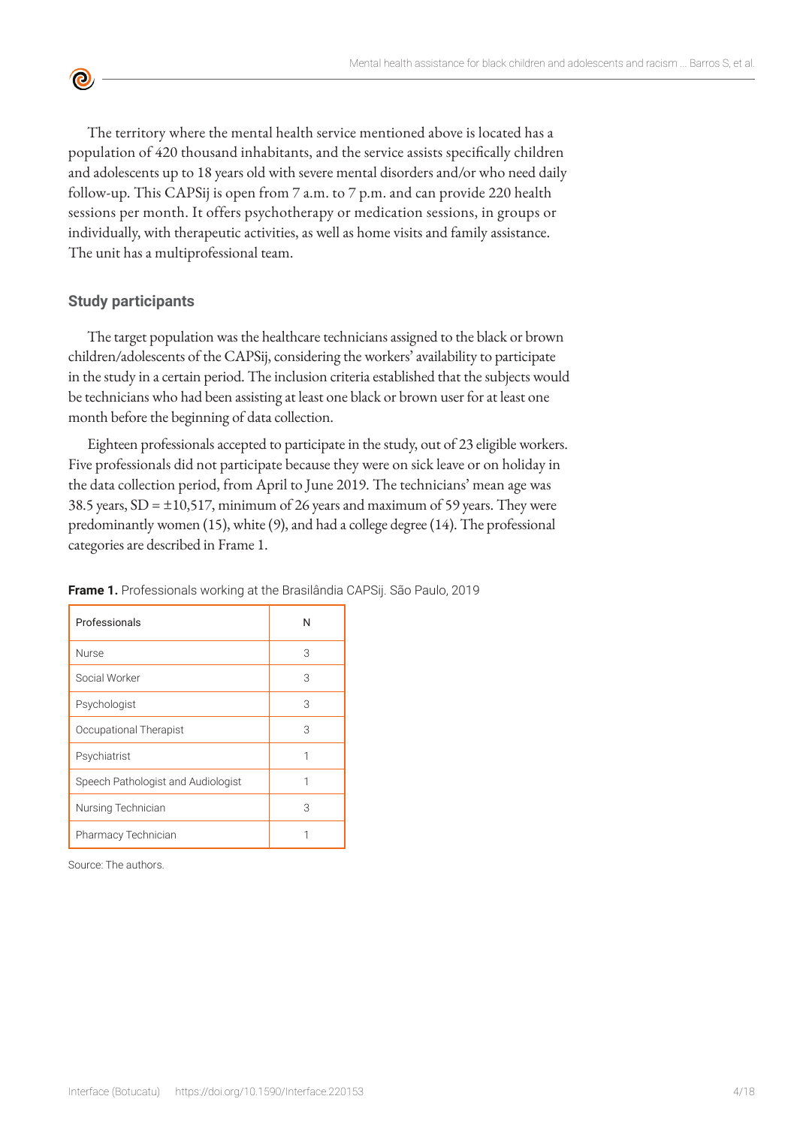The territory where the mental health service mentioned above is located has a population of 420 thousand inhabitants, and the service assists specifically children and adolescents up to 18 years old with severe mental disorders and/or who need daily follow-up. This CAPSij is open from 7 a.m. to 7 p.m. and can provide 220 health sessions per month. It offers psychotherapy or medication sessions, in groups or individually, with therapeutic activities, as well as home visits and family assistance. The unit has a multiprofessional team.

#### **Study participants**

**©** 

The target population was the healthcare technicians assigned to the black or brown children/adolescents of the CAPSij, considering the workers' availability to participate in the study in a certain period. The inclusion criteria established that the subjects would be technicians who had been assisting at least one black or brown user for at least one month before the beginning of data collection.

Eighteen professionals accepted to participate in the study, out of 23 eligible workers. Five professionals did not participate because they were on sick leave or on holiday in the data collection period, from April to June 2019. The technicians' mean age was 38.5 years,  $SD = \pm 10,517$ , minimum of 26 years and maximum of 59 years. They were predominantly women (15), white (9), and had a college degree (14). The professional categories are described in Frame 1.

| Professionals                      | N |
|------------------------------------|---|
| <b>Nurse</b>                       | З |
| Social Worker                      | 3 |
| Psychologist                       | 3 |
| Occupational Therapist             | 3 |
| Psychiatrist                       | 1 |
| Speech Pathologist and Audiologist | 1 |
| Nursing Technician                 | 3 |
| Pharmacy Technician                |   |

**Frame 1.** Professionals working at the Brasilândia CAPSij. São Paulo, 2019

Source: The authors.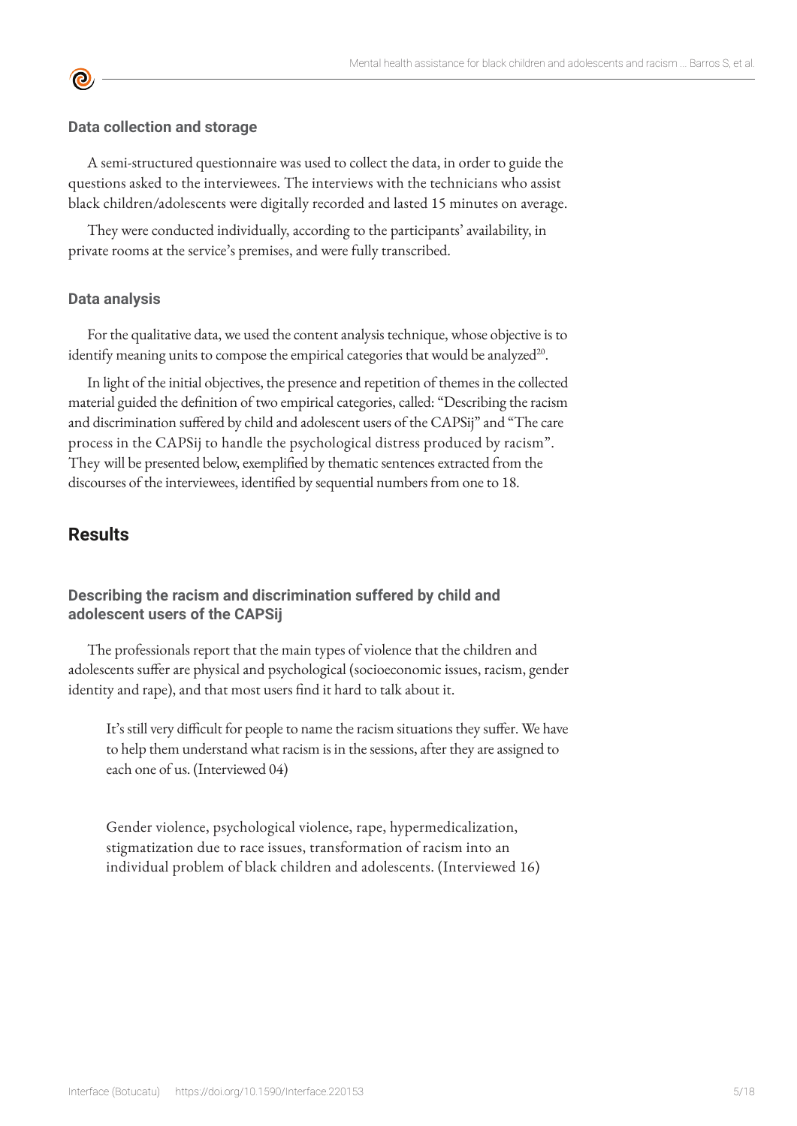#### **Data collection and storage**

A semi-structured questionnaire was used to collect the data, in order to guide the questions asked to the interviewees. The interviews with the technicians who assist black children/adolescents were digitally recorded and lasted 15 minutes on average.

They were conducted individually, according to the participants' availability, in private rooms at the service's premises, and were fully transcribed.

#### **Data analysis**

**©** 

For the qualitative data, we used the content analysis technique, whose objective is to identify meaning units to compose the empirical categories that would be analyzed $20$ .

In light of the initial objectives, the presence and repetition of themes in the collected material guided the definition of two empirical categories, called: "Describing the racism and discrimination suffered by child and adolescent users of the CAPSij" and "The care process in the CAPSij to handle the psychological distress produced by racism". They will be presented below, exemplified by thematic sentences extracted from the discourses of the interviewees, identified by sequential numbers from one to 18.

## **Results**

## **Describing the racism and discrimination suffered by child and adolescent users of the CAPSij**

The professionals report that the main types of violence that the children and adolescents suffer are physical and psychological (socioeconomic issues, racism, gender identity and rape), and that most users find it hard to talk about it.

It's still very difficult for people to name the racism situations they suffer. We have to help them understand what racism is in the sessions, after they are assigned to each one of us. (Interviewed 04)

Gender violence, psychological violence, rape, hypermedicalization, stigmatization due to race issues, transformation of racism into an individual problem of black children and adolescents. (Interviewed 16)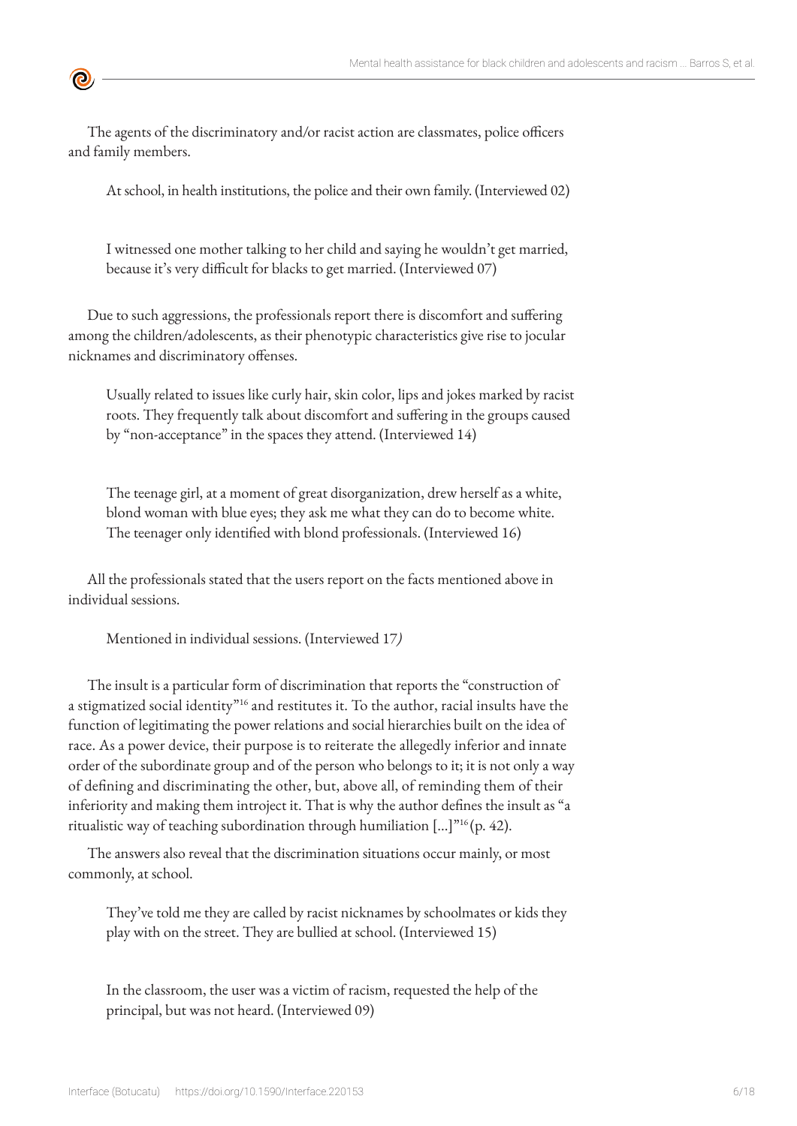The agents of the discriminatory and/or racist action are classmates, police officers and family members.

**©** 

At school, in health institutions, the police and their own family. (Interviewed 02)

I witnessed one mother talking to her child and saying he wouldn't get married, because it's very difficult for blacks to get married. (Interviewed 07)

Due to such aggressions, the professionals report there is discomfort and suffering among the children/adolescents, as their phenotypic characteristics give rise to jocular nicknames and discriminatory offenses.

Usually related to issues like curly hair, skin color, lips and jokes marked by racist roots. They frequently talk about discomfort and suffering in the groups caused by "non-acceptance" in the spaces they attend. (Interviewed 14)

The teenage girl, at a moment of great disorganization, drew herself as a white, blond woman with blue eyes; they ask me what they can do to become white. The teenager only identified with blond professionals. (Interviewed 16)

All the professionals stated that the users report on the facts mentioned above in individual sessions.

Mentioned in individual sessions. (Interviewed 17*)*

The insult is a particular form of discrimination that reports the "construction of a stigmatized social identity"<sup>[1](https://paperpile.com/c/JEP7OC/ypO9q)6</sup> and restitutes it. To the author, racial insults have the function of legitimating the power relations and social hierarchies built on the idea of race. As a power device, their purpose is to reiterate the allegedly inferior and innate order of the subordinate group and of the person who belongs to it; it is not only a way of defining and discriminating the other, but, above all, of reminding them of their inferiority and making them introject it. That is why the author defines the insult as "a ritualistic way of teaching subordination through humiliation [...]["16](https://paperpile.com/c/JEP7OC/ypO9q) (p. 42).

The answers also reveal that the discrimination situations occur mainly, or most commonly, at school.

They've told me they are called by racist nicknames by schoolmates or kids they play with on the street. They are bullied at school. (Interviewed 15)

In the classroom, the user was a victim of racism, requested the help of the principal, but was not heard. (Interviewed 09)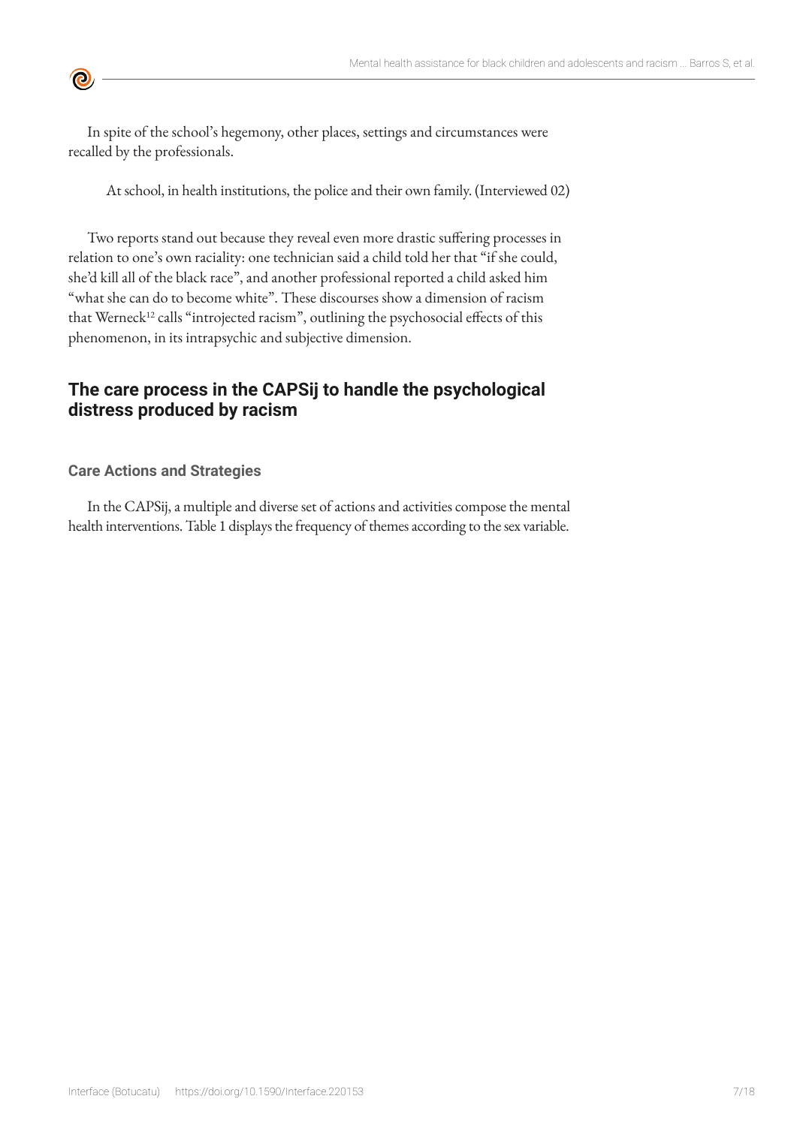In spite of the school's hegemony, other places, settings and circumstances were recalled by the professionals.

At school, in health institutions, the police and their own family. (Interviewed 02)

Two reports stand out because they reveal even more drastic suffering processes in relation to one's own raciality: one technician said a child told her that "if she could, she'd kill all of the black race", and another professional reported a child asked him "what she can do to become white". These discourses show a dimension of racism that Werneck<sup>12</sup> calls "introjected racism", outlining the psychosocial effects of this phenomenon, in its intrapsychic and subjective dimension.

# **The care process in the CAPSij to handle the psychological distress produced by racism**

## **Care Actions and Strategies**

 $\bullet$ 

In the CAPSij, a multiple and diverse set of actions and activities compose the mental health interventions. Table 1 displays the frequency of themes according to the sex variable.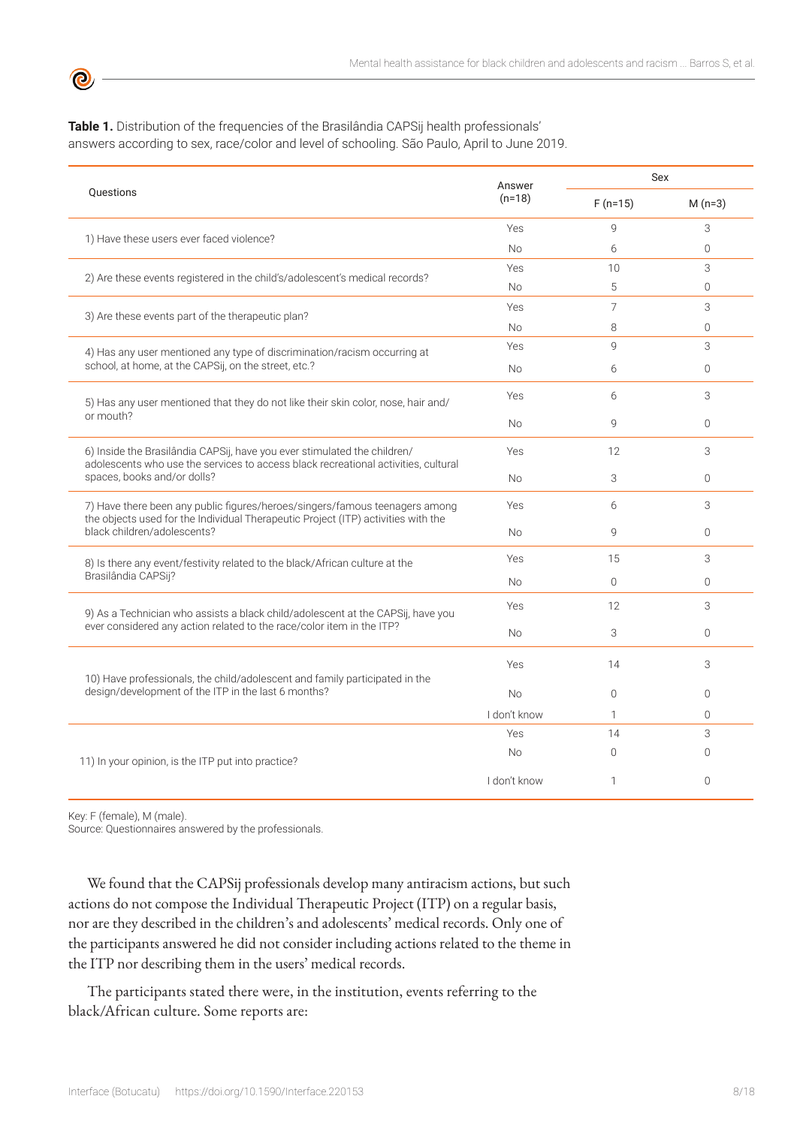**Table 1.** Distribution of the frequencies of the Brasilândia CAPSij health professionals' answers according to sex, race/color and level of schooling. São Paulo, April to June 2019.

|                                                                                                                                                                  | Answer           | Sex            |           |
|------------------------------------------------------------------------------------------------------------------------------------------------------------------|------------------|----------------|-----------|
| <b>Ouestions</b>                                                                                                                                                 | $(n=18)$         | $F(n=15)$      | $M(n=3)$  |
| 1) Have these users ever faced violence?                                                                                                                         | Yes<br><b>No</b> | 9              | 3         |
|                                                                                                                                                                  |                  | 6              | $\Omega$  |
| 2) Are these events registered in the child's/adolescent's medical records?                                                                                      | Yes<br><b>No</b> | 10             | 3         |
|                                                                                                                                                                  |                  | 5              | $\Omega$  |
| 3) Are these events part of the therapeutic plan?                                                                                                                | Yes<br><b>No</b> | $\overline{7}$ | 3         |
|                                                                                                                                                                  |                  | 8              | $\Omega$  |
| 4) Has any user mentioned any type of discrimination/racism occurring at                                                                                         | Yes<br><b>No</b> | $\mathsf{Q}$   | 3         |
| school, at home, at the CAPSij, on the street, etc.?                                                                                                             |                  | 6              | $\Omega$  |
| 5) Has any user mentioned that they do not like their skin color, nose, hair and/                                                                                | Yes              | 6              | 3         |
| or mouth?                                                                                                                                                        | <b>No</b>        | $\mathsf{Q}$   | $\Omega$  |
| 6) Inside the Brasilândia CAPSij, have you ever stimulated the children/<br>adolescents who use the services to access black recreational activities, cultural   | Yes              | 12             | 3         |
| spaces, books and/or dolls?                                                                                                                                      | <b>No</b>        | 3              | $\Omega$  |
| 7) Have there been any public figures/heroes/singers/famous teenagers among<br>the objects used for the Individual Therapeutic Project (ITP) activities with the | Yes<br>No        | 6              | 3         |
| black children/adolescents?                                                                                                                                      |                  | $\mathsf{Q}$   | $\bigcap$ |
| 8) Is there any event/festivity related to the black/African culture at the                                                                                      | Yes<br><b>No</b> | 15             | 3         |
| Brasilândia CAPSij?                                                                                                                                              |                  | $\overline{0}$ | $\Omega$  |
| 9) As a Technician who assists a black child/adolescent at the CAPSij, have you                                                                                  | Yes              | 12             | 3         |
| ever considered any action related to the race/color item in the ITP?<br><b>No</b>                                                                               | 3                | $\Omega$       |           |
| 10) Have professionals, the child/adolescent and family participated in the<br>design/development of the ITP in the last 6 months?                               | Yes              | 14             | 3         |
|                                                                                                                                                                  | <b>No</b>        | $\Omega$       | $\Omega$  |
|                                                                                                                                                                  | I don't know     | 1              | $\Omega$  |
| 11) In your opinion, is the ITP put into practice?                                                                                                               | Yes              | 14             | 3         |
|                                                                                                                                                                  | <b>No</b>        | $\mathbf{0}$   | $\Omega$  |
|                                                                                                                                                                  | I don't know     | 1              | $\Omega$  |

Key: F (female), M (male).

ര

Source: Questionnaires answered by the professionals.

We found that the CAPSij professionals develop many antiracism actions, but such actions do not compose the Individual Therapeutic Project (ITP) on a regular basis, nor are they described in the children's and adolescents' medical records. Only one of the participants answered he did not consider including actions related to the theme in the ITP nor describing them in the users' medical records.

The participants stated there were, in the institution, events referring to the black/African culture. Some reports are: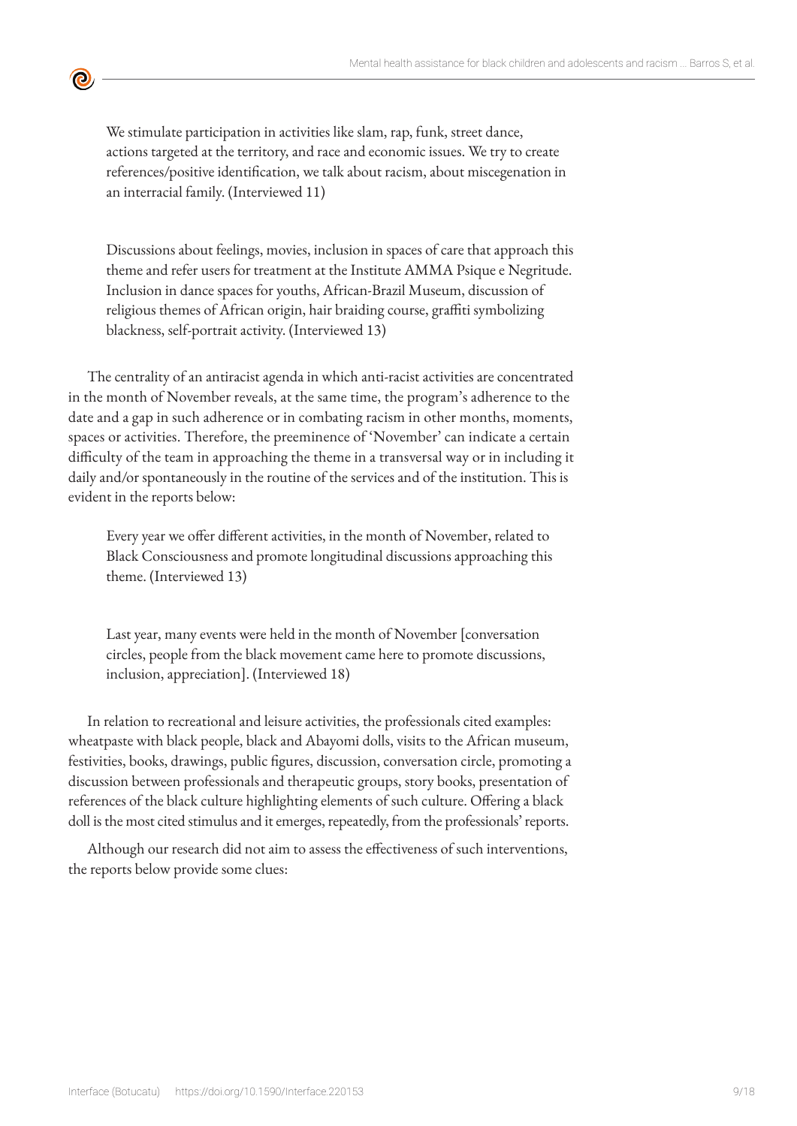We stimulate participation in activities like slam, rap, funk, street dance, actions targeted at the territory, and race and economic issues. We try to create references/positive identification, we talk about racism, about miscegenation in an interracial family. (Interviewed 11)

<u>ල</u>

Discussions about feelings, movies, inclusion in spaces of care that approach this theme and refer users for treatment at the Institute AMMA Psique e Negritude. Inclusion in dance spaces for youths, African-Brazil Museum, discussion of religious themes of African origin, hair braiding course, graffiti symbolizing blackness, self-portrait activity. (Interviewed 13)

The centrality of an antiracist agenda in which anti-racist activities are concentrated in the month of November reveals, at the same time, the program's adherence to the date and a gap in such adherence or in combating racism in other months, moments, spaces or activities. Therefore, the preeminence of 'November' can indicate a certain difficulty of the team in approaching the theme in a transversal way or in including it daily and/or spontaneously in the routine of the services and of the institution. This is evident in the reports below:

Every year we offer different activities, in the month of November, related to Black Consciousness and promote longitudinal discussions approaching this theme. (Interviewed 13)

Last year, many events were held in the month of November [conversation circles, people from the black movement came here to promote discussions, inclusion, appreciation]. (Interviewed 18)

In relation to recreational and leisure activities, the professionals cited examples: wheatpaste with black people, black and Abayomi dolls, visits to the African museum, festivities, books, drawings, public figures, discussion, conversation circle, promoting a discussion between professionals and therapeutic groups, story books, presentation of references of the black culture highlighting elements of such culture. Offering a black doll is the most cited stimulus and it emerges, repeatedly, from the professionals' reports.

Although our research did not aim to assess the effectiveness of such interventions, the reports below provide some clues: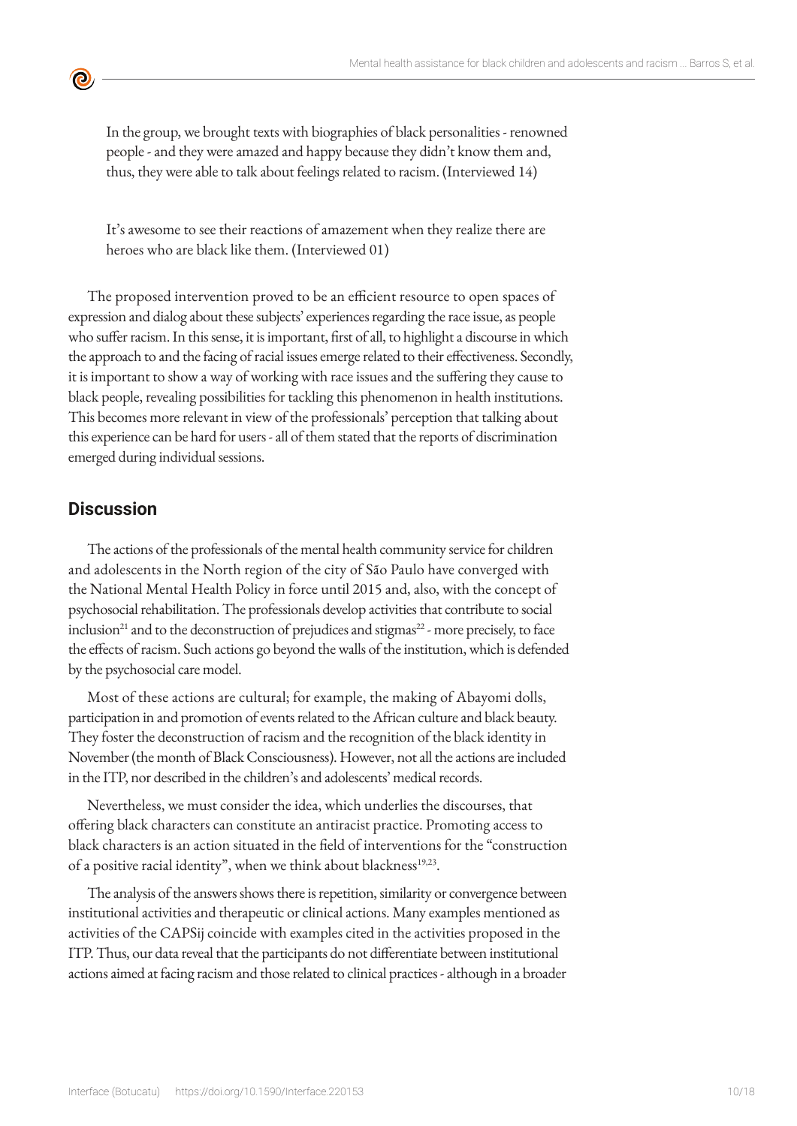In the group, we brought texts with biographies of black personalities - renowned people - and they were amazed and happy because they didn't know them and, thus, they were able to talk about feelings related to racism. (Interviewed 14)

It's awesome to see their reactions of amazement when they realize there are heroes who are black like them. (Interviewed 01)

The proposed intervention proved to be an efficient resource to open spaces of expression and dialog about these subjects' experiences regarding the race issue, as people who suffer racism. In this sense, it is important, first of all, to highlight a discourse in which the approach to and the facing of racial issues emerge related to their effectiveness. Secondly, it is important to show a way of working with race issues and the suffering they cause to black people, revealing possibilities for tackling this phenomenon in health institutions. This becomes more relevant in view of the professionals' perception that talking about this experience can be hard for users - all of them stated that the reports of discrimination emerged during individual sessions.

# **Discussion**

<u>ල</u>

The actions of the professionals of the mental health community service for children and adolescents in the North region of the city of São Paulo have converged with the National Mental Health Policy in force until 2015 and, also, with the concept of psychosocial rehabilitation. The professionals develop activities that contribute to social inclusion<sup>[21](https://paperpile.com/c/JEP7OC/wwt9e)</sup> and to the deconstruction of prejudices and stigmas<sup>22</sup> - more precisely, to face the effects of racism. Such actions go beyond the walls of the institution, which is defended by the psychosocial care model.

Most of these actions are cultural; for example, the making of Abayomi dolls, participation in and promotion of events related to the African culture and black beauty. They foster the deconstruction of racism and the recognition of the black identity in November (the month of Black Consciousness). However, not all the actions are included in the ITP, nor described in the children's and adolescents' medical records.

Nevertheless, we must consider the idea, which underlies the discourses, that offering black characters can constitute an antiracist practice. Promoting access to black characters is an action situated in the field of interventions for the "construction of a positive racial identity", when we think about blackness<sup>1[9,23](https://paperpile.com/c/JEP7OC/URYva+PXx73)</sup>.

The analysis of the answers shows there is repetition, similarity or convergence between institutional activities and therapeutic or clinical actions. Many examples mentioned as activities of the CAPSij coincide with examples cited in the activities proposed in the ITP. Thus, our data reveal that the participants do not differentiate between institutional actions aimed at facing racism and those related to clinical practices - although in a broader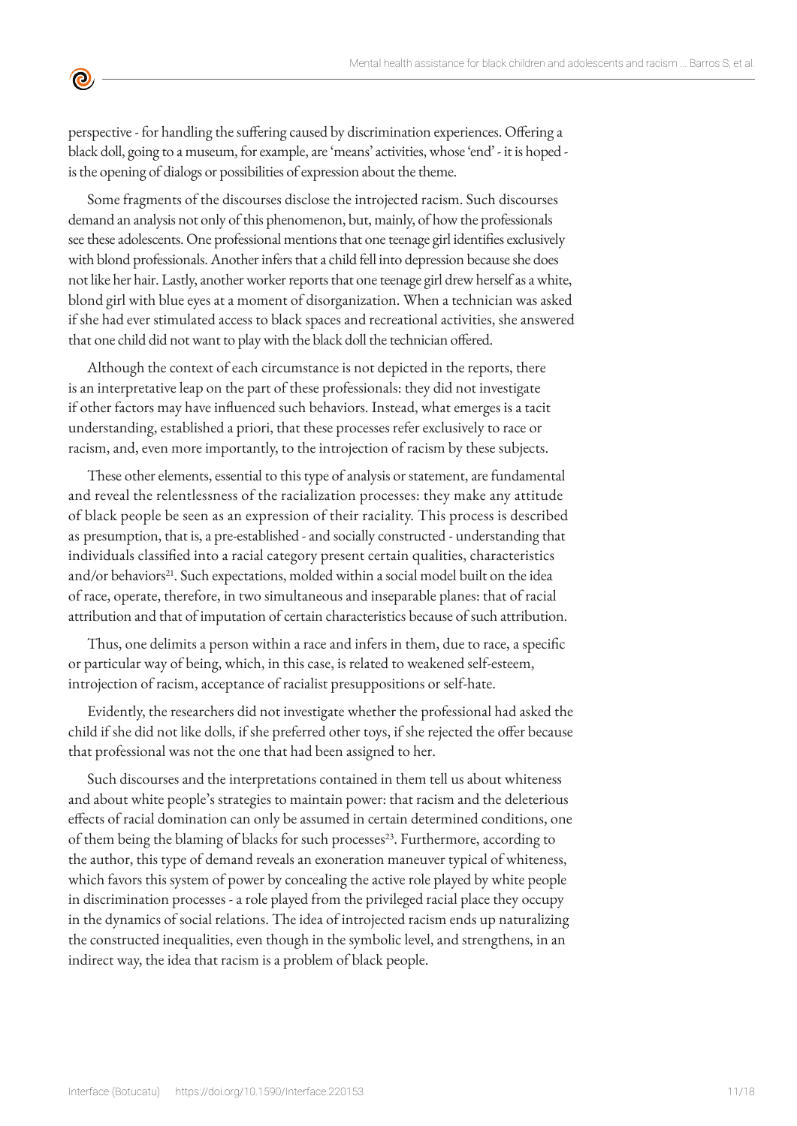perspective - for handling the suffering caused by discrimination experiences. Offering a black doll, going to a museum, for example, are 'means' activities, whose 'end' - it is hoped is the opening of dialogs or possibilities of expression about the theme.

<u>ල</u>

Some fragments of the discourses disclose the introjected racism. Such discourses demand an analysis not only of this phenomenon, but, mainly, of how the professionals see these adolescents. One professional mentions that one teenage girl identifies exclusively with blond professionals. Another infers that a child fell into depression because she does not like her hair. Lastly, another worker reports that one teenage girl drew herself as a white, blond girl with blue eyes at a moment of disorganization. When a technician was asked if she had ever stimulated access to black spaces and recreational activities, she answered that one child did not want to play with the black doll the technician offered.

Although the context of each circumstance is not depicted in the reports, there is an interpretative leap on the part of these professionals: they did not investigate if other factors may have influenced such behaviors. Instead, what emerges is a tacit understanding, established a priori, that these processes refer exclusively to race or racism, and, even more importantly, to the introjection of racism by these subjects.

These other elements, essential to this type of analysis or statement, are fundamental and reveal the relentlessness of the racialization processes: they make any attitude of black people be seen as an expression of their raciality. This process is described as presumption, that is, a pre-established - and socially constructed - understanding that individuals classified into a racial category present certain qualities, characteristics and/or behaviors<sup>[21](https://paperpile.com/c/JEP7OC/PZdqK)</sup>. Such expectations, molded within a social model built on the idea of race, operate, therefore, in two simultaneous and inseparable planes: that of racial attribution and that of imputation of certain characteristics because of such attribution.

Thus, one delimits a person within a race and infers in them, due to race, a specific or particular way of being, which, in this case, is related to weakened self-esteem, introjection of racism, acceptance of racialist presuppositions or self-hate.

Evidently, the researchers did not investigate whether the professional had asked the child if she did not like dolls, if she preferred other toys, if she rejected the offer because that professional was not the one that had been assigned to her.

Such discourses and the interpretations contained in them tell us about whiteness and about white people's strategies to maintain power: that racism and the deleterious effects of racial domination can only be assumed in certain determined conditions, one of them being the blaming of blacks for such processes<sup>[2](https://paperpile.com/c/JEP7OC/D57iE)3</sup>. Furthermore, according to the author, this type of demand reveals an exoneration maneuver typical of whiteness, which favors this system of power by concealing the active role played by white people in discrimination processes - a role played from the privileged racial place they occupy in the dynamics of social relations. The idea of introjected racism ends up naturalizing the constructed inequalities, even though in the symbolic level, and strengthens, in an indirect way, the idea that racism is a problem of black people.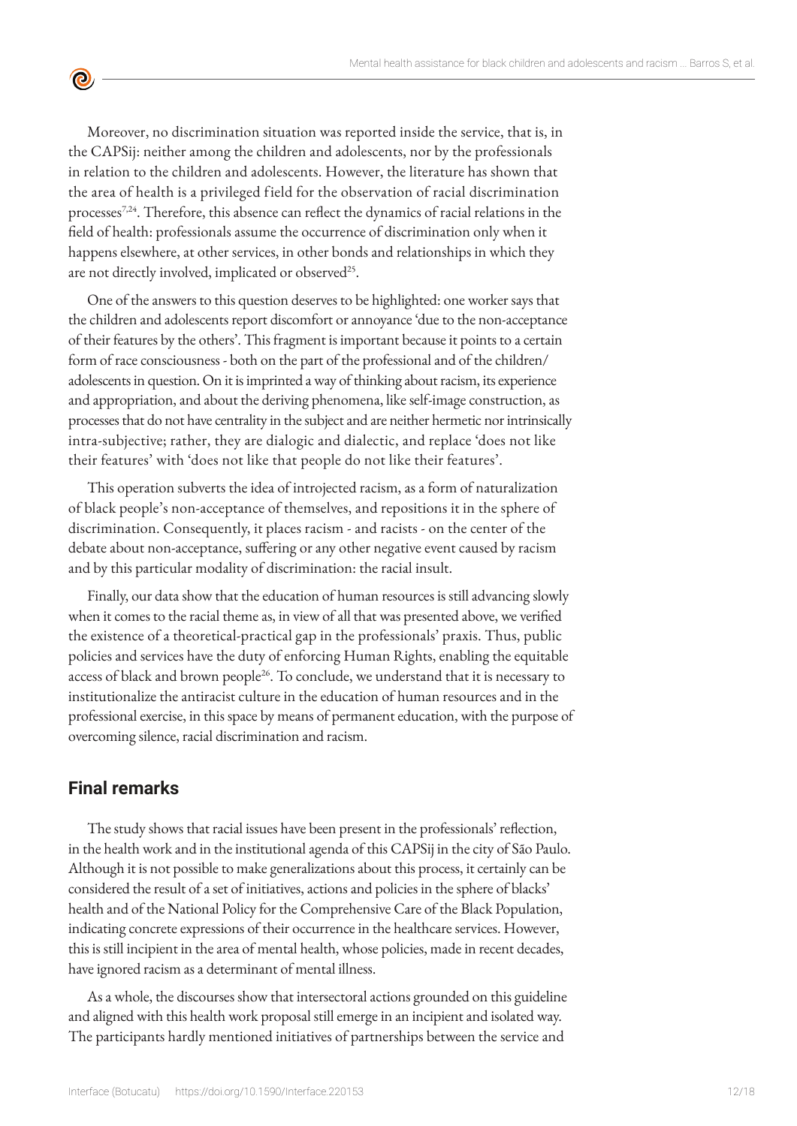Moreover, no discrimination situation was reported inside the service, that is, in the CAPSij: neither among the children and adolescents, nor by the professionals in relation to the children and adolescents. However, the literature has shown that the area of health is a privileged field for the observation of racial discrimination processes<sup>7,24</sup>. Therefore, this absence can reflect the dynamics of racial relations in the field of health: professionals assume the occurrence of discrimination only when it happens elsewhere, at other services, in other bonds and relationships in which they are not directly involved, implicated or observed<sup>25</sup>.

One of the answers to this question deserves to be highlighted: one worker says that the children and adolescents report discomfort or annoyance 'due to the non-acceptance of their features by the others'. This fragment is important because it points to a certain form of race consciousness - both on the part of the professional and of the children/ adolescents in question. On it is imprinted a way of thinking about racism, its experience and appropriation, and about the deriving phenomena, like self-image construction, as processes that do not have centrality in the subject and are neither hermetic nor intrinsically intra-subjective; rather, they are dialogic and dialectic, and replace 'does not like their features' with 'does not like that people do not like their features'.

This operation subverts the idea of introjected racism, as a form of naturalization of black people's non-acceptance of themselves, and repositions it in the sphere of discrimination. Consequently, it places racism - and racists - on the center of the debate about non-acceptance, suffering or any other negative event caused by racism and by this particular modality of discrimination: the racial insult.

Finally, our data show that the education of human resources is still advancing slowly when it comes to the racial theme as, in view of all that was presented above, we verified the existence of a theoretical-practical gap in the professionals' praxis. Thus, public policies and services have the duty of enforcing Human Rights, enabling the equitable access of black and brown people<sup>26</sup>. To conclude, we understand that it is necessary to institutionalize the antiracist culture in the education of human resources and in the professional exercise, in this space by means of permanent education, with the purpose of overcoming silence, racial discrimination and racism.

# **Final remarks**

<u>ල</u>

The study shows that racial issues have been present in the professionals' reflection, in the health work and in the institutional agenda of this CAPSij in the city of São Paulo. Although it is not possible to make generalizations about this process, it certainly can be considered the result of a set of initiatives, actions and policies in the sphere of blacks' health and of the National Policy for the Comprehensive Care of the Black Population, indicating concrete expressions of their occurrence in the healthcare services. However, this is still incipient in the area of mental health, whose policies, made in recent decades, have ignored racism as a determinant of mental illness.

As a whole, the discourses show that intersectoral actions grounded on this guideline and aligned with this health work proposal still emerge in an incipient and isolated way. The participants hardly mentioned initiatives of partnerships between the service and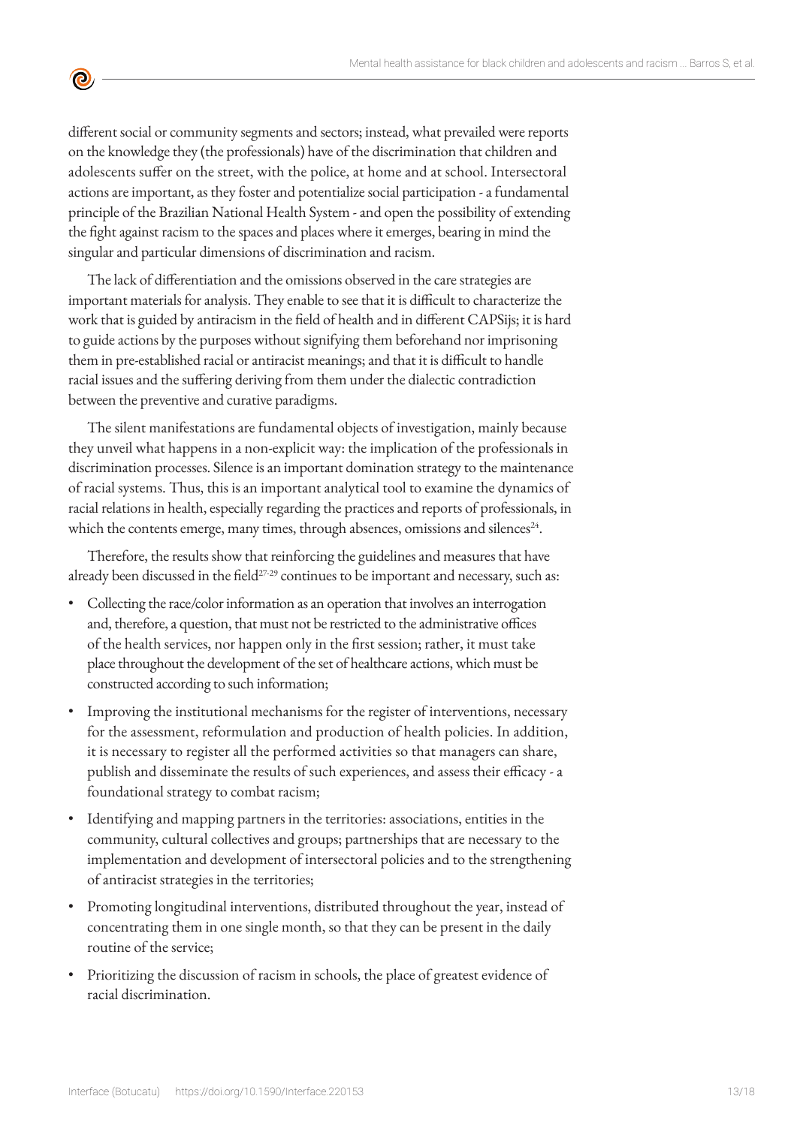different social or community segments and sectors; instead, what prevailed were reports on the knowledge they (the professionals) have of the discrimination that children and adolescents suffer on the street, with the police, at home and at school. Intersectoral actions are important, as they foster and potentialize social participation - a fundamental principle of the Brazilian National Health System - and open the possibility of extending the fight against racism to the spaces and places where it emerges, bearing in mind the singular and particular dimensions of discrimination and racism.

<u>ල</u>

The lack of differentiation and the omissions observed in the care strategies are important materials for analysis. They enable to see that it is difficult to characterize the work that is guided by antiracism in the field of health and in different CAPSijs; it is hard to guide actions by the purposes without signifying them beforehand nor imprisoning them in pre-established racial or antiracist meanings; and that it is difficult to handle racial issues and the suffering deriving from them under the dialectic contradiction between the preventive and curative paradigms.

The silent manifestations are fundamental objects of investigation, mainly because they unveil what happens in a non-explicit way: the implication of the professionals in discrimination processes. Silence is an important domination strategy to the maintenance of racial systems. Thus, this is an important analytical tool to examine the dynamics of racial relations in health, especially regarding the practices and reports of professionals, in which the contents emerge, many times, through absences, omissions and silences $24$ .

Therefore, the results show that reinforcing the guidelines and measures that have already been discussed in the field<sup>[27-](https://paperpile.com/c/JEP7OC/MN9h+zAJJ+UJE5)29</sup> continues to be important and necessary, such as:

- Collecting the race/color information as an operation that involves an interrogation and, therefore, a question, that must not be restricted to the administrative offices of the health services, nor happen only in the first session; rather, it must take place throughout the development of the set of healthcare actions, which must be constructed according to such information;
- Improving the institutional mechanisms for the register of interventions, necessary for the assessment, reformulation and production of health policies. In addition, it is necessary to register all the performed activities so that managers can share, publish and disseminate the results of such experiences, and assess their efficacy - a foundational strategy to combat racism;
- Identifying and mapping partners in the territories: associations, entities in the community, cultural collectives and groups; partnerships that are necessary to the implementation and development of intersectoral policies and to the strengthening of antiracist strategies in the territories;
- Promoting longitudinal interventions, distributed throughout the year, instead of concentrating them in one single month, so that they can be present in the daily routine of the service;
- Prioritizing the discussion of racism in schools, the place of greatest evidence of racial discrimination.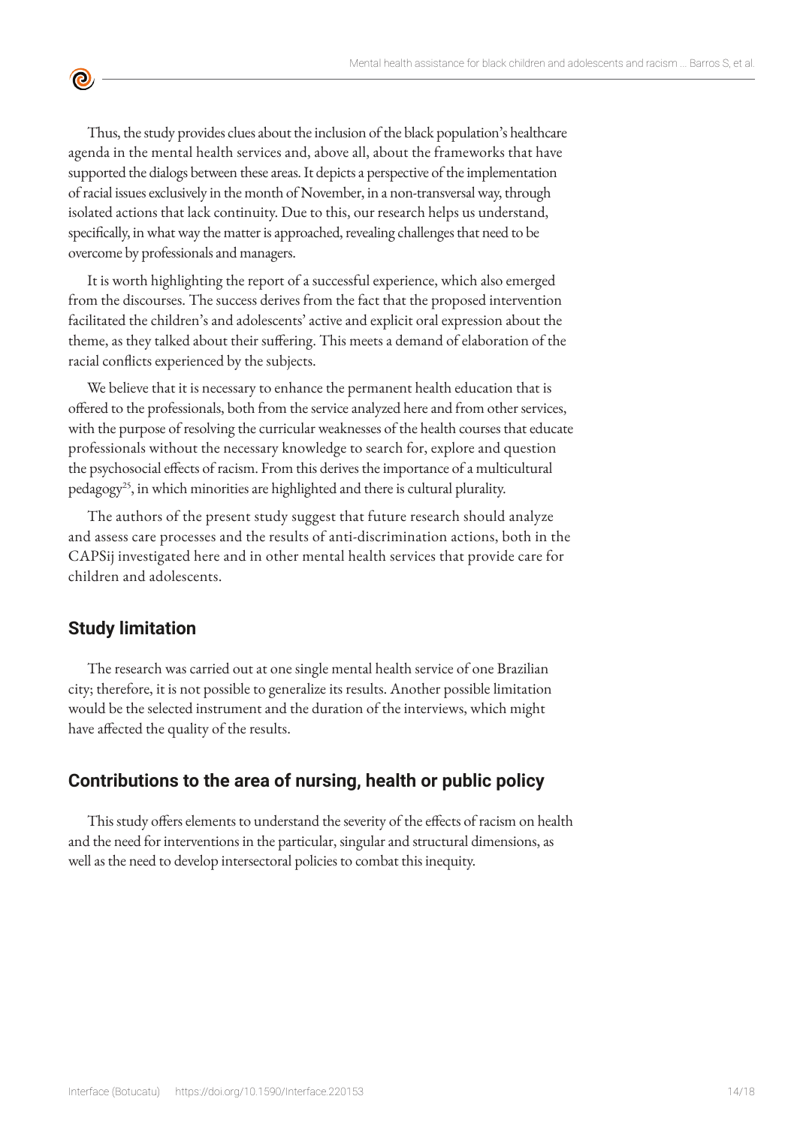Thus, the study provides clues about the inclusion of the black population's healthcare agenda in the mental health services and, above all, about the frameworks that have supported the dialogs between these areas. It depicts a perspective of the implementation of racial issues exclusively in the month of November, in a non-transversal way, through isolated actions that lack continuity. Due to this, our research helps us understand, specifically, in what way the matter is approached, revealing challenges that need to be overcome by professionals and managers.

It is worth highlighting the report of a successful experience, which also emerged from the discourses. The success derives from the fact that the proposed intervention facilitated the children's and adolescents' active and explicit oral expression about the theme, as they talked about their suffering. This meets a demand of elaboration of the racial conflicts experienced by the subjects.

We believe that it is necessary to enhance the permanent health education that is offered to the professionals, both from the service analyzed here and from other services, with the purpose of resolving the curricular weaknesses of the health courses that educate professionals without the necessary knowledge to search for, explore and question the psychosocial effects of racism. From this derives the importance of a multicultural pedagogy<sup>25</sup>, in which minorities are highlighted and there is cultural plurality.

The authors of the present study suggest that future research should analyze and assess care processes and the results of anti-discrimination actions, both in the CAPSij investigated here and in other mental health services that provide care for children and adolescents.

# **Study limitation**

 $\bullet$ 

The research was carried out at one single mental health service of one Brazilian city; therefore, it is not possible to generalize its results. Another possible limitation would be the selected instrument and the duration of the interviews, which might have affected the quality of the results.

# **Contributions to the area of nursing, health or public policy**

This study offers elements to understand the severity of the effects of racism on health and the need for interventions in the particular, singular and structural dimensions, as well as the need to develop intersectoral policies to combat this inequity.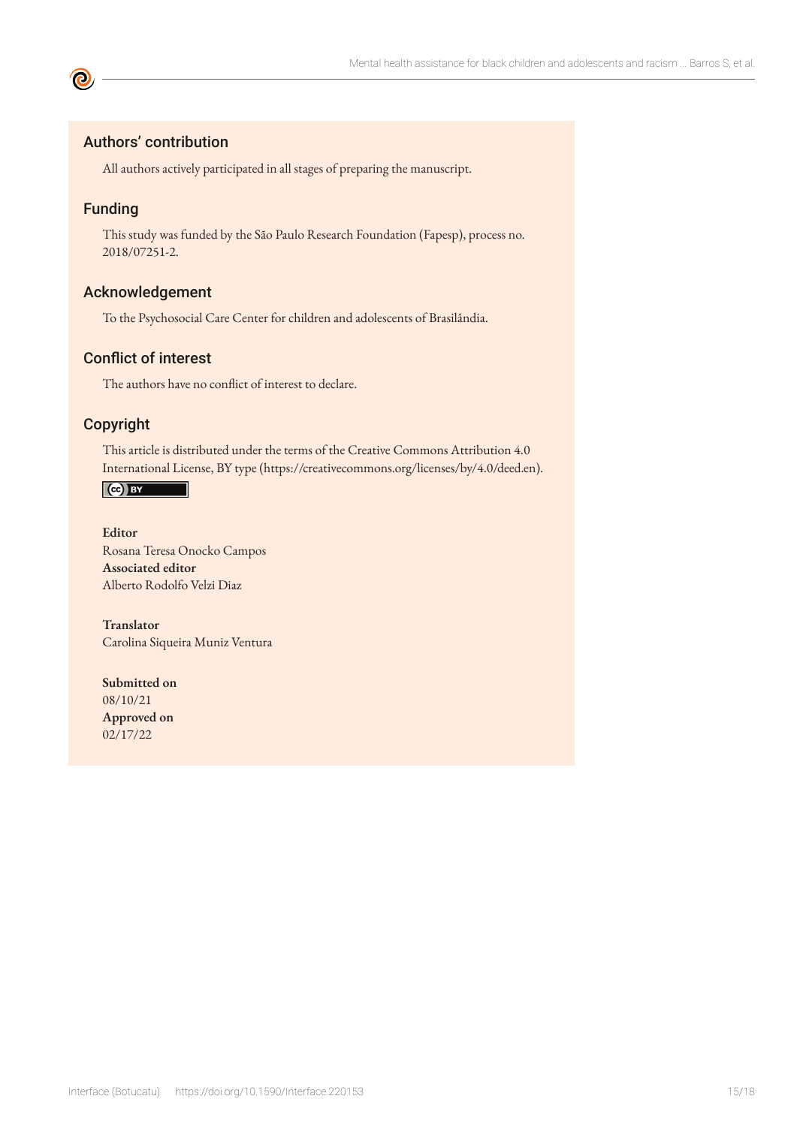## Authors' contribution

All authors actively participated in all stages of preparing the manuscript.

## Funding

**©** 

This study was funded by the São Paulo Research Foundation (Fapesp), process no. 2018/07251-2.

## Acknowledgement

To the Psychosocial Care Center for children and adolescents of Brasilândia.

## Conflict of interest

The authors have no conflict of interest to declare.

#### Copyright

This article is distributed under the terms of the Creative Commons Attribution 4.0 International License, BY type (https://creativecommons.org/licenses/by/4.0/deed.en).



**Editor** Rosana Teresa Onocko Campos **Associated editor** Alberto Rodolfo Velzi Diaz

**Translator** Carolina Siqueira Muniz Ventura

**Submitted on** 08/10/21 **Approved on** 02/17/22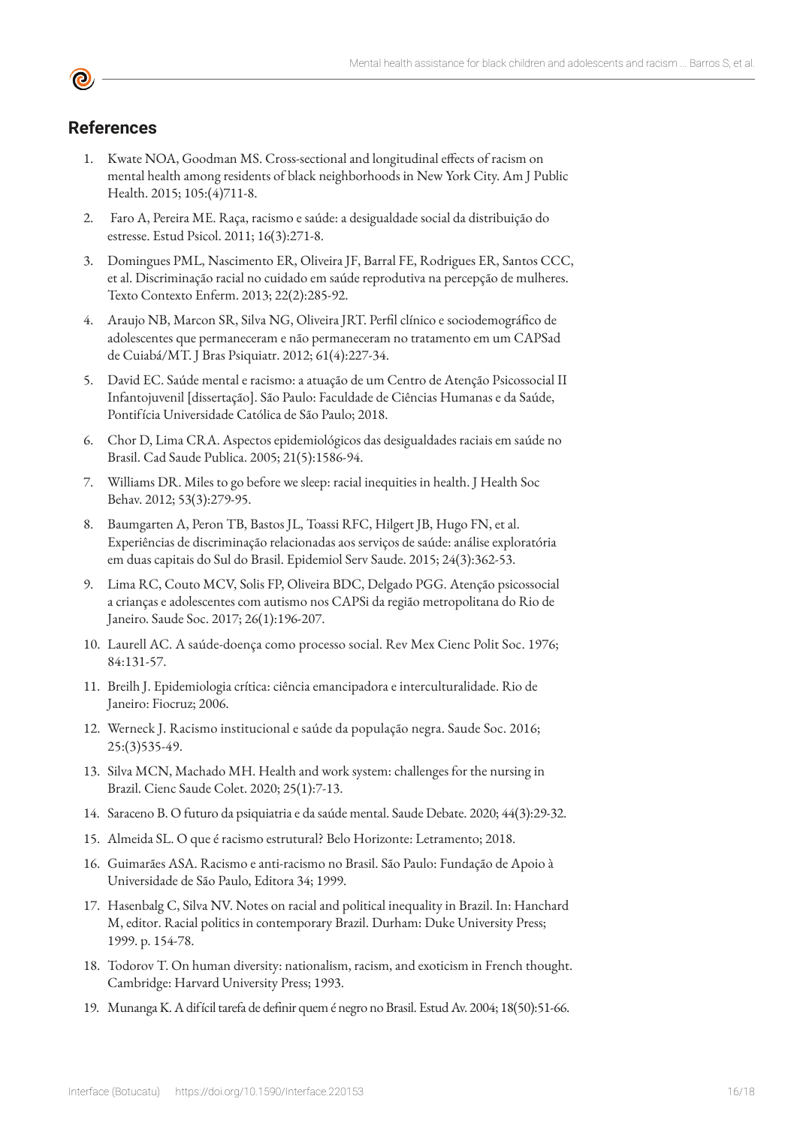## **References**

- 1. Kwate NOA, Goodman MS. Cross-sectional and longitudinal effects of racism on mental health among residents of black neighborhoods in New York City. Am J Public Health. 2015; 105:(4)711-8.
- 2. Faro A, Pereira ME. Raça, racismo e saúde: a desigualdade social da distribuição do estresse. Estud Psicol. 2011; 16(3):271-8.
- 3. Domingues PML, Nascimento ER, Oliveira JF, Barral FE, Rodrigues ER, Santos CCC, et al. Discriminação racial no cuidado em saúde reprodutiva na percepção de mulheres. Texto Contexto Enferm. 2013; 22(2):285-92.
- 4. Araujo NB, Marcon SR, Silva NG, Oliveira JRT. Perfil clínico e sociodemográfico de adolescentes que permaneceram e não permaneceram no tratamento em um CAPSad de Cuiabá/MT. J Bras Psiquiatr. 2012; 61(4):227-34.
- 5. David EC. Saúde mental e racismo: a atuação de um Centro de Atenção Psicossocial II Infantojuvenil [dissertação]. São Paulo: Faculdade de Ciências Humanas e da Saúde, Pontifícia Universidade Católica de São Paulo; 2018.
- 6. Chor D, Lima CRA. Aspectos epidemiológicos das desigualdades raciais em saúde no Brasil. Cad Saude Publica. 2005; 21(5):1586-94.
- 7. Williams DR. Miles to go before we sleep: racial inequities in health. J Health Soc Behav. 2012; 53(3):279-95.
- 8. Baumgarten A, Peron TB, Bastos JL, Toassi RFC, Hilgert JB, Hugo FN, et al. Experiências de discriminação relacionadas aos serviços de saúde: análise exploratória em duas capitais do Sul do Brasil. Epidemiol Serv Saude. 2015; 24(3):362-53.
- 9. Lima RC, Couto MCV, Solis FP, Oliveira BDC, Delgado PGG. Atenção psicossocial a crianças e adolescentes com autismo nos CAPSi da região metropolitana do Rio de Janeiro. Saude Soc. 2017; 26(1):196-207.
- 10. Laurell AC. A saúde-doença como processo social. Rev Mex Cienc Polit Soc. 1976; 84:131-57.
- 11. Breilh J. Epidemiologia crítica: ciência emancipadora e interculturalidade. Rio de Janeiro: Fiocruz; 2006.
- 12. Werneck J. Racismo institucional e saúde da população negra. Saude Soc. 2016; 25:(3)535-49.
- 13. Silva MCN, Machado MH. Health and work system: challenges for the nursing in Brazil. Cienc Saude Colet. 2020; 25(1):7-13.
- 14. Saraceno B. O futuro da psiquiatria e da saúde mental. Saude Debate. 2020; 44(3):29-32.
- 15. Almeida SL. O que é racismo estrutural? Belo Horizonte: Letramento; 2018.
- 16. Guimarães ASA. Racismo e anti-racismo no Brasil. São Paulo: Fundação de Apoio à Universidade de São Paulo, Editora 34; 1999.
- 17. Hasenbalg C, Silva NV. Notes on racial and political inequality in Brazil. In: Hanchard M, editor. Racial politics in contemporary Brazil. Durham: Duke University Press; 1999. p. 154-78.
- 18. Todorov T. On human diversity: nationalism, racism, and exoticism in French thought. Cambridge: Harvard University Press; 1993.
- 19. Munanga K. A difícil tarefa de definir quem é negro no Brasil. Estud Av. 2004; 18(50):51-66.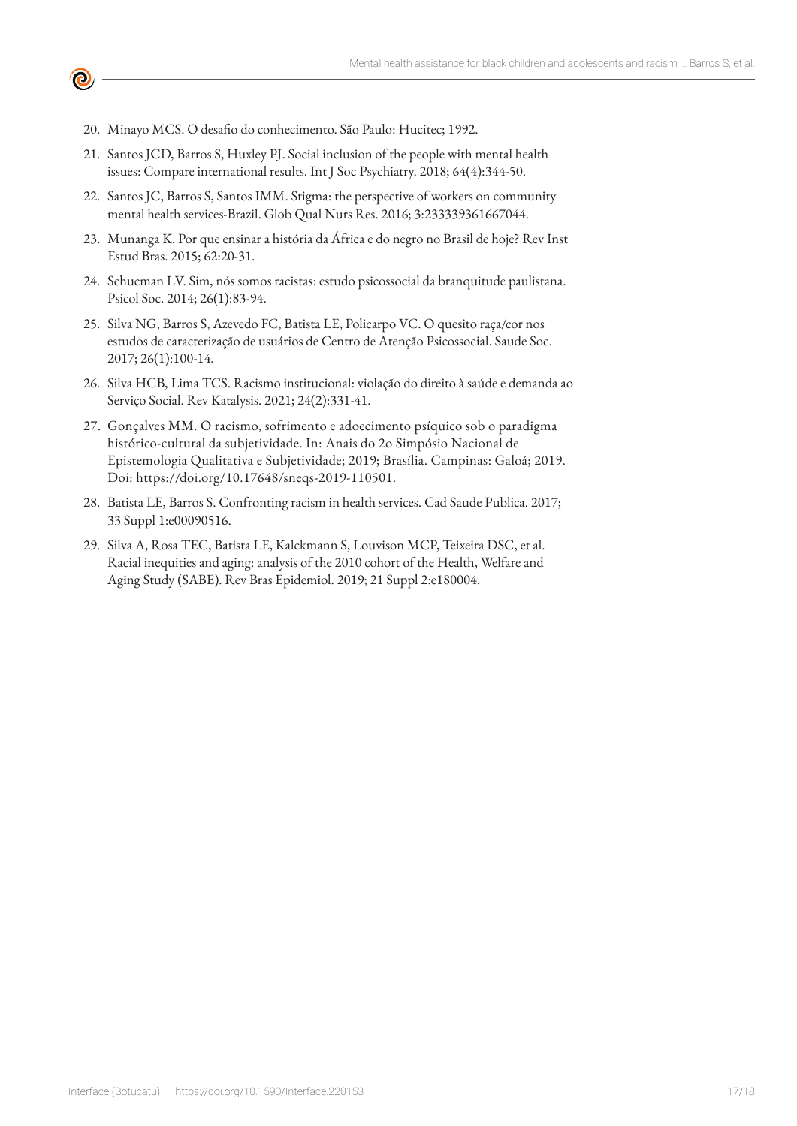20. Minayo MCS. O desafio do conhecimento. São Paulo: Hucitec; 1992.

<u>ල</u>

- 21. Santos JCD, Barros S, Huxley PJ. Social inclusion of the people with mental health issues: Compare international results. Int J Soc Psychiatry. 2018; 64(4):344-50.
- 22. Santos JC, Barros S, Santos IMM. Stigma: the perspective of workers on community mental health services-Brazil. Glob Qual Nurs Res. 2016; 3:233339361667044.
- 23. Munanga K. Por que ensinar a história da África e do negro no Brasil de hoje? Rev Inst Estud Bras. 2015; 62:20-31.
- 24. Schucman LV. Sim, nós somos racistas: estudo psicossocial da branquitude paulistana. Psicol Soc. 2014; 26(1):83-94.
- 25. Silva NG, Barros S, Azevedo FC, Batista LE, Policarpo VC. O quesito raça/cor nos estudos de caracterização de usuários de Centro de Atenção Psicossocial. Saude Soc. 2017; 26(1):100-14.
- 26. Silva HCB, Lima TCS. Racismo institucional: violação do direito à saúde e demanda ao Serviço Social. Rev Katalysis. 2021; 24(2):331-41.
- 27. Gonçalves MM. O racismo, sofrimento e adoecimento psíquico sob o paradigma histórico-cultural da subjetividade. In: Anais do 2o Simpósio Nacional de Epistemologia Qualitativa e Subjetividade; 2019; Brasília. Campinas: Galoá; 2019. Doi: https://doi.org/10.17648/sneqs-2019-110501.
- 28. Batista LE, Barros S. Confronting racism in health services. Cad Saude Publica. 2017; 33 Suppl 1:e00090516.
- 29. Silva A, Rosa TEC, Batista LE, Kalckmann S, Louvison MCP, Teixeira DSC, et al. Racial inequities and aging: analysis of the 2010 cohort of the Health, Welfare and Aging Study (SABE). Rev Bras Epidemiol. 2019; 21 Suppl 2:e180004.